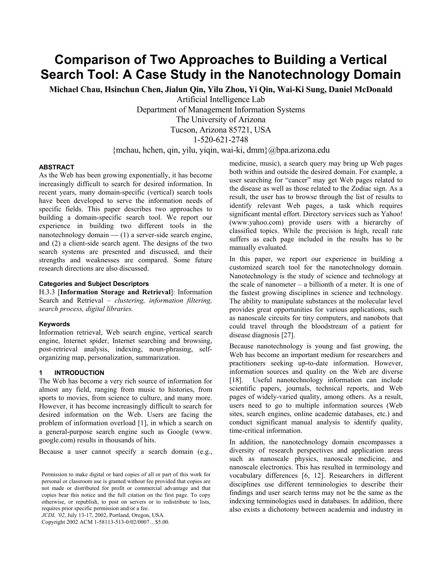# **Comparison of Two Approaches to Building a Vertical Search Tool: A Case Study in the Nanotechnology Domain**

**Michael Chau, Hsinchun Chen, Jialun Qin, Yilu Zhou, Yi Qin, Wai-Ki Sung, Daniel McDonald** 

Artificial Intelligence Lab

Department of Management Information Systems

The University of Arizona

Tucson, Arizona 85721, USA

1-520-621-2748

{mchau, hchen, qin, yilu, yiqin, wai-ki, dmm}@bpa.arizona.edu

## **ABSTRACT**

As the Web has been growing exponentially, it has become increasingly difficult to search for desired information. In recent years, many domain-specific (vertical) search tools have been developed to serve the information needs of specific fields. This paper describes two approaches to building a domain-specific search tool. We report our experience in building two different tools in the nanotechnology domain  $-$  (1) a server-side search engine, and (2) a client-side search agent. The designs of the two search systems are presented and discussed, and their strengths and weaknesses are compared. Some future research directions are also discussed.

#### **Categories and Subject Descriptors**

H.3.3 [**Information Storage and Retrieval**]: Information Search and Retrieval – *clustering, information filtering, search process, digital libraries.*

#### **Keywords**

Information retrieval, Web search engine, vertical search engine, Internet spider, Internet searching and browsing, post-retrieval analysis, indexing, noun-phrasing, selforganizing map, personalization, summarization.

## **INTRODUCTION**

The Web has become a very rich source of information for almost any field, ranging from music to histories, from sports to movies, from science to culture, and many more. However, it has become increasingly difficult to search for desired information on the Web. Users are facing the problem of information overload [1], in which a search on a general-purpose search engine such as Google (www. google.com) results in thousands of hits.

Because a user cannot specify a search domain (e.g.,

*JCDL '02*, July 13-17, 2002, Portland, Oregon, USA.

Copyright 2002 ACM 1-58113-513-0/02/0007…\$5.00.

medicine, music), a search query may bring up Web pages both within and outside the desired domain. For example, a user searching for "cancer" may get Web pages related to the disease as well as those related to the Zodiac sign. As a result, the user has to browse through the list of results to identify relevant Web pages, a task which requires significant mental effort. Directory services such as Yahoo! (www.yahoo.com) provide users with a hierarchy of classified topics. While the precision is high, recall rate suffers as each page included in the results has to be manually evaluated.

In this paper, we report our experience in building a customized search tool for the nanotechnology domain. Nanotechnology is the study of science and technology at the scale of nanometer – a billionth of a meter. It is one of the fastest growing disciplines in science and technology. The ability to manipulate substances at the molecular level provides great opportunities for various applications, such as nanoscale circuits for tiny computers, and nanobots that could travel through the bloodstream of a patient for disease diagnosis [27].

Because nanotechnology is young and fast growing, the Web has become an important medium for researchers and practitioners seeking up-to-date information. However, information sources and quality on the Web are diverse [18]. Useful nanotechnology information can include scientific papers, journals, technical reports, and Web pages of widely-varied quality, among others. As a result, users need to go to multiple information sources (Web sites, search engines, online academic databases, etc.) and conduct significant manual analysis to identify quality, time-critical information.

In addition, the nanotechnology domain encompasses a diversity of research perspectives and application areas such as nanoscale physics, nanoscale medicine, and nanoscale electronics. This has resulted in terminology and vocabulary differences [6, 12]. Researchers in different disciplines use different terminologies to describe their findings and user search terms may not be the same as the indexing terminologies used in databases. In addition, there also exists a dichotomy between academia and industry in

Permission to make digital or hard copies of all or part of this work for personal or classroom use is granted without fee provided that copies are not made or distributed for profit or commercial advantage and that copies bear this notice and the full citation on the first page. To copy otherwise, or republish, to post on servers or to redistribute to lists, requires prior specific permission and/or a fee.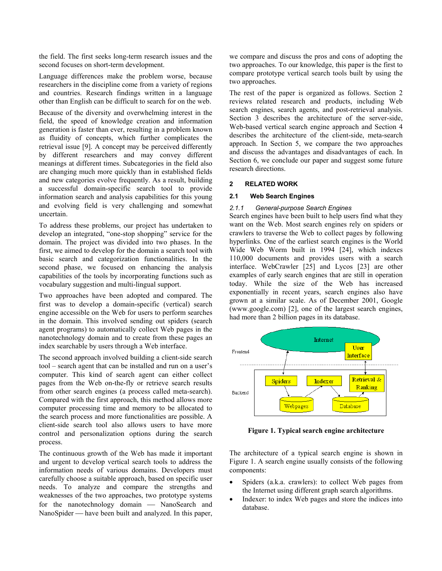the field. The first seeks long-term research issues and the second focuses on short-term development.

Language differences make the problem worse, because researchers in the discipline come from a variety of regions and countries. Research findings written in a language other than English can be difficult to search for on the web.

Because of the diversity and overwhelming interest in the field, the speed of knowledge creation and information generation is faster than ever, resulting in a problem known as fluidity of concepts, which further complicates the retrieval issue [9]. A concept may be perceived differently by different researchers and may convey different meanings at different times. Subcategories in the field also are changing much more quickly than in established fields and new categories evolve frequently. As a result, building a successful domain-specific search tool to provide information search and analysis capabilities for this young and evolving field is very challenging and somewhat uncertain.

To address these problems, our project has undertaken to develop an integrated, "one-stop shopping" service for the domain. The project was divided into two phases. In the first, we aimed to develop for the domain a search tool with basic search and categorization functionalities. In the second phase, we focused on enhancing the analysis capabilities of the tools by incorporating functions such as vocabulary suggestion and multi-lingual support.

Two approaches have been adopted and compared. The first was to develop a domain-specific (vertical) search engine accessible on the Web for users to perform searches in the domain. This involved sending out spiders (search agent programs) to automatically collect Web pages in the nanotechnology domain and to create from these pages an index searchable by users through a Web interface.

The second approach involved building a client-side search tool – search agent that can be installed and run on a user's computer. This kind of search agent can either collect pages from the Web on-the-fly or retrieve search results from other search engines (a process called meta-search). Compared with the first approach, this method allows more computer processing time and memory to be allocated to the search process and more functionalities are possible. A client-side search tool also allows users to have more control and personalization options during the search process.

The continuous growth of the Web has made it important and urgent to develop vertical search tools to address the information needs of various domains. Developers must carefully choose a suitable approach, based on specific user needs. To analyze and compare the strengths and weaknesses of the two approaches, two prototype systems for the nanotechnology domain — NanoSearch and NanoSpider — have been built and analyzed. In this paper,

we compare and discuss the pros and cons of adopting the two approaches. To our knowledge, this paper is the first to compare prototype vertical search tools built by using the two approaches.

The rest of the paper is organized as follows. Section 2 reviews related research and products, including Web search engines, search agents, and post-retrieval analysis. Section 3 describes the architecture of the server-side, Web-based vertical search engine approach and Section 4 describes the architecture of the client-side, meta-search approach. In Section 5, we compare the two approaches and discuss the advantages and disadvantages of each. In Section 6, we conclude our paper and suggest some future research directions.

### **2 RELATED WORK**

#### **2.1 Web Search Engines**

## *2.1.1 General-purpose Search Engines*

Search engines have been built to help users find what they want on the Web. Most search engines rely on spiders or crawlers to traverse the Web to collect pages by following hyperlinks. One of the earliest search engines is the World Wide Web Worm built in 1994 [24], which indexes 110,000 documents and provides users with a search interface. WebCrawler [25] and Lycos [23] are other examples of early search engines that are still in operation today. While the size of the Web has increased exponentially in recent years, search engines also have grown at a similar scale. As of December 2001, Google (www.google.com) [2], one of the largest search engines, had more than 2 billion pages in its database.



**Figure 1. Typical search engine architecture** 

The architecture of a typical search engine is shown in Figure 1. A search engine usually consists of the following components:

- Spiders (a.k.a. crawlers): to collect Web pages from the Internet using different graph search algorithms.
- Indexer: to index Web pages and store the indices into database.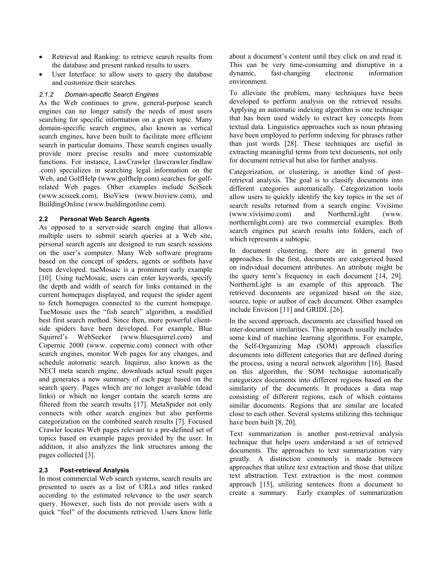- Retrieval and Ranking: to retrieve search results from the database and present ranked results to users.
- User Interface: to allow users to query the database and customize their searches.

## *2.1.2 Domain-specific Search Engines*

As the Web continues to grow, general-purpose search engines can no longer satisfy the needs of most users searching for specific information on a given topic. Many domain-specific search engines, also known as vertical search engines, have been built to facilitate more efficient search in particular domains. These search engines usually provide more precise results and more customizable functions. For instance, LawCrawler (lawcrawler.findlaw .com) specializes in searching legal information on the Web, and GolfHelp (www.golfhelp.com) searches for golfrelated Web pages. Other examples include SciSeek (www.sciseek.com), BioView (www.bioview.com), and BuildingOnline (www.buildingonline.com).

## **2.2 Personal Web Search Agents**

As opposed to a server-side search engine that allows multiple users to submit search queries at a Web site, personal search agents are designed to run search sessions on the user's computer. Many Web software programs based on the concept of spiders, agents or softbots have been developed. tueMosaic is a prominent early example [10]. Using tueMosaic, users can enter keywords, specify the depth and width of search for links contained in the current homepages displayed, and request the spider agent to fetch homepages connected to the current homepage. TueMosaic uses the "fish search" algorithm, a modified best first search method. Since then, more powerful clientside spiders have been developed. For example, Blue Squirrel's WebSeeker (www.bluesquirrel.com) and Copernic 2000 (www. copernic.com) connect with other search engines, monitor Web pages for any changes, and schedule automatic search. Inquirus, also known as the NECI meta search engine, downloads actual result pages and generates a new summary of each page based on the search query. Pages which are no longer available (dead links) or which no longer contain the search terms are filtered from the search results [17]. MetaSpider not only connects with other search engines but also performs categorization on the combined search results [7]. Focused Crawler locates Web pages relevant to a pre-defined set of topics based on example pages provided by the user. In addition, it also analyzes the link structures among the pages collected [3].

# **2.3 Post-retrieval Analysis**

In most commercial Web search systems, search results are presented to users as a list of URLs and titles ranked according to the estimated relevance to the user search query. However, such lists do not provide users with a quick "feel" of the documents retrieved. Users know little

about a document's content until they click on and read it. This can be very time-consuming and disruptive in a dynamic, fast-changing electronic information environment.

To alleviate the problem, many techniques have been developed to perform analysis on the retrieved results. Applying an automatic indexing algorithm is one technique that has been used widely to extract key concepts from textual data. Linguistics approaches such as noun phrasing have been employed to perform indexing for phrases rather than just words [28]. These techniques are useful in extracting meaningful terms from text documents, not only for document retrieval but also for further analysis.

Categorization, or clustering, is another kind of postretrieval analysis. The goal is to classify documents into different categories automatically. Categorization tools allow users to quickly identify the key topics in the set of search results returned from a search engine. Vivisimo (www.vivisimo.com) and NorthernLight (www. northernlight.com) are two commercial examples. Both search engines put search results into folders, each of which represents a subtopic.

In document clustering, there are in general two approaches. In the first, documents are categorized based on individual document attributes. An attribute might be the query term's frequency in each document [14, 29]. NorthernLight is an example of this approach. The retrieved documents are organized based on the size, source, topic or author of each document. Other examples include Envision [11] and GRIDL [26].

In the second approach, documents are classified based on inter-document similarities. This approach usually includes some kind of machine learning algorithms. For example, the Self-Organizing Map (SOM) approach classifies documents into different categories that are defined during the process, using a neural network algorithm [16]. Based on this algorithm, the SOM technique automatically categorizes documents into different regions based on the similarity of the documents. It produces a data map consisting of different regions, each of which contains similar documents. Regions that are similar are located close to each other. Several systems utilizing this technique have been built [8, 20].

Text summarization is another post-retrieval analysis technique that helps users understand a set of retrieved documents. The approaches to text summarization vary greatly. A distinction commonly is made between approaches that utilize text extraction and those that utilize text abstraction. Text extraction is the most common approach [15], utilizing sentences from a document to create a summary. Early examples of summarization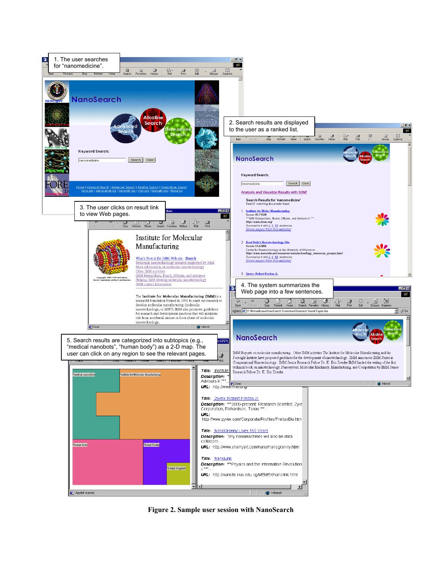

**Figure 2. Sample user session with NanoSearch**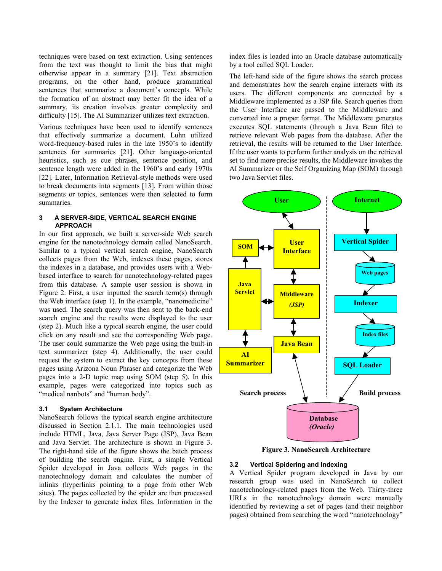techniques were based on text extraction. Using sentences from the text was thought to limit the bias that might otherwise appear in a summary [21]. Text abstraction programs, on the other hand, produce grammatical sentences that summarize a document's concepts. While the formation of an abstract may better fit the idea of a summary, its creation involves greater complexity and difficulty [15]. The AI Summarizer utilizes text extraction.

Various techniques have been used to identify sentences that effectively summarize a document. Luhn utilized word-frequency-based rules in the late 1950's to identify sentences for summaries [21]. Other language-oriented heuristics, such as cue phrases, sentence position, and sentence length were added in the 1960's and early 1970s [22]. Later, Information Retrieval-style methods were used to break documents into segments [13]. From within those segments or topics, sentences were then selected to form summaries.

### **3 A SERVER-SIDE, VERTICAL SEARCH ENGINE APPROACH**

In our first approach, we built a server-side Web search engine for the nanotechnology domain called NanoSearch. Similar to a typical vertical search engine, NanoSearch collects pages from the Web, indexes these pages, stores the indexes in a database, and provides users with a Webbased interface to search for nanotechnology-related pages from this database. A sample user session is shown in Figure 2. First, a user inputted the search term(s) through the Web interface (step 1). In the example, "nanomedicine" was used. The search query was then sent to the back-end search engine and the results were displayed to the user (step 2). Much like a typical search engine, the user could click on any result and see the corresponding Web page. The user could summarize the Web page using the built-in text summarizer (step 4). Additionally, the user could request the system to extract the key concepts from these pages using Arizona Noun Phraser and categorize the Web pages into a 2-D topic map using SOM (step 5). In this example, pages were categorized into topics such as "medical nanbots" and "human body".

#### **3.1 System Architecture**

NanoSearch follows the typical search engine architecture discussed in Section 2.1.1. The main technologies used include HTML, Java, Java Server Page (JSP), Java Bean and Java Servlet. The architecture is shown in Figure 3. The right-hand side of the figure shows the batch process of building the search engine. First, a simple Vertical Spider developed in Java collects Web pages in the nanotechnology domain and calculates the number of inlinks (hyperlinks pointing to a page from other Web sites). The pages collected by the spider are then processed by the Indexer to generate index files. Information in the

index files is loaded into an Oracle database automatically by a tool called SQL Loader.

The left-hand side of the figure shows the search process and demonstrates how the search engine interacts with its users. The different components are connected by a Middleware implemented as a JSP file. Search queries from the User Interface are passed to the Middleware and converted into a proper format. The Middleware generates executes SQL statements (through a Java Bean file) to retrieve relevant Web pages from the database. After the retrieval, the results will be returned to the User Interface. If the user wants to perform further analysis on the retrieval set to find more precise results, the Middleware invokes the AI Summarizer or the Self Organizing Map (SOM) through two Java Servlet files.



**Figure 3. NanoSearch Architecture** 

#### **3.2 Vertical Spidering and Indexing**

A Vertical Spider program developed in Java by our research group was used in NanoSearch to collect nanotechnology-related pages from the Web. Thirty-three URLs in the nanotechnology domain were manually identified by reviewing a set of pages (and their neighbor pages) obtained from searching the word "nanotechnology"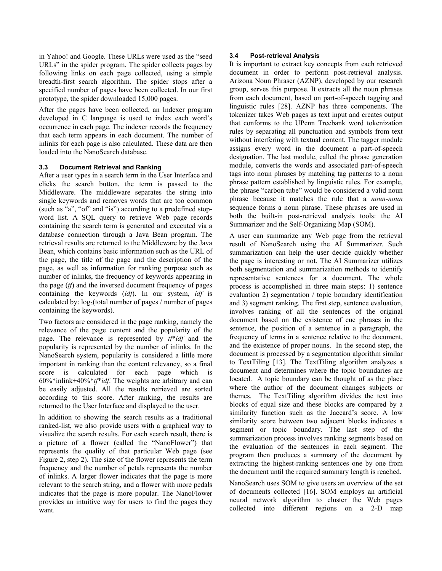in Yahoo! and Google. These URLs were used as the "seed URLs" in the spider program. The spider collects pages by following links on each page collected, using a simple breadth-first search algorithm. The spider stops after a specified number of pages have been collected. In our first prototype, the spider downloaded 15,000 pages.

After the pages have been collected, an Indexer program developed in C language is used to index each word's occurrence in each page. The indexer records the frequency that each term appears in each document. The number of inlinks for each page is also calculated. These data are then loaded into the NanoSearch database.

## **3.3 Document Retrieval and Ranking**

After a user types in a search term in the User Interface and clicks the search button, the term is passed to the Middleware. The middleware separates the string into single keywords and removes words that are too common (such as "a", "of" and "is") according to a predefined stopword list. A SQL query to retrieve Web page records containing the search term is generated and executed via a database connection through a Java Bean program. The retrieval results are returned to the Middleware by the Java Bean, which contains basic information such as the URL of the page, the title of the page and the description of the page, as well as information for ranking purpose such as number of inlinks, the frequency of keywords appearing in the page (*tf*) and the inversed document frequency of pages containing the keywords (*idf*). In our system, *idf* is calculated by:  $log_2$ (total number of pages / number of pages containing the keywords).

Two factors are considered in the page ranking, namely the relevance of the page content and the popularity of the page. The relevance is represented by *tf*\**idf* and the popularity is represented by the number of inlinks. In the NanoSearch system, popularity is considered a little more important in ranking than the content relevancy, so a final score is calculated for each page which is 60%\*inlink+40%\**tf*\**idf*. The weights are arbitrary and can be easily adjusted. All the results retrieved are sorted according to this score. After ranking, the results are returned to the User Interface and displayed to the user.

In addition to showing the search results as a traditional ranked-list, we also provide users with a graphical way to visualize the search results. For each search result, there is a picture of a flower (called the "NanoFlower") that represents the quality of that particular Web page (see Figure 2, step 2). The size of the flower represents the term frequency and the number of petals represents the number of inlinks. A larger flower indicates that the page is more relevant to the search string, and a flower with more pedals indicates that the page is more popular. The NanoFlower provides an intuitive way for users to find the pages they want.

## **3.4 Post-retrieval Analysis**

It is important to extract key concepts from each retrieved document in order to perform post-retrieval analysis. Arizona Noun Phraser (AZNP), developed by our research group, serves this purpose. It extracts all the noun phrases from each document, based on part-of-speech tagging and linguistic rules [28]. AZNP has three components. The tokenizer takes Web pages as text input and creates output that conforms to the UPenn Treebank word tokenization rules by separating all punctuation and symbols from text without interfering with textual content. The tagger module assigns every word in the document a part-of-speech designation. The last module, called the phrase generation module, converts the words and associated part-of-speech tags into noun phrases by matching tag patterns to a noun phrase pattern established by linguistic rules. For example, the phrase "carbon tube" would be considered a valid noun phrase because it matches the rule that a *noun-noun* sequence forms a noun phrase. These phrases are used in both the built-in post-retrieval analysis tools: the AI Summarizer and the Self-Organizing Map (SOM).

A user can summarize any Web page from the retrieval result of NanoSearch using the AI Summarizer. Such summarization can help the user decide quickly whether the page is interesting or not. The AI Summarizer utilizes both segmentation and summarization methods to identify representative sentences for a document. The whole process is accomplished in three main steps: 1) sentence evaluation 2) segmentation / topic boundary identification and 3) segment ranking. The first step, sentence evaluation, involves ranking of all the sentences of the original document based on the existence of cue phrases in the sentence, the position of a sentence in a paragraph, the frequency of terms in a sentence relative to the document, and the existence of proper nouns. In the second step, the document is processed by a segmentation algorithm similar to TextTiling [13]. The TextTiling algorithm analyzes a document and determines where the topic boundaries are located. A topic boundary can be thought of as the place where the author of the document changes subjects or themes. The TextTiling algorithm divides the text into blocks of equal size and these blocks are compared by a similarity function such as the Jaccard's score. A low similarity score between two adjacent blocks indicates a segment or topic boundary. The last step of the summarization process involves ranking segments based on the evaluation of the sentences in each segment. The program then produces a summary of the document by extracting the highest-ranking sentences one by one from the document until the required summary length is reached.

NanoSearch uses SOM to give users an overview of the set of documents collected [16]. SOM employs an artificial neural network algorithm to cluster the Web pages collected into different regions on a 2-D map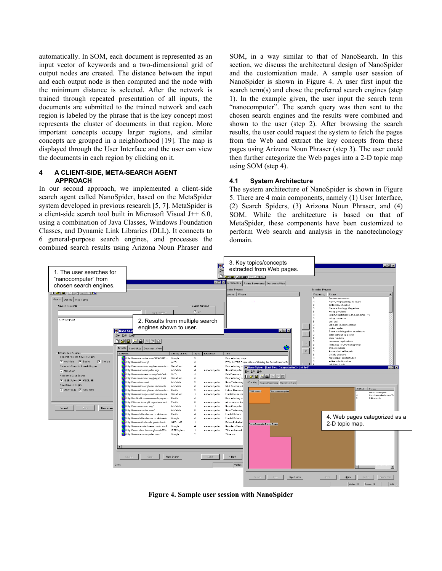automatically. In SOM, each document is represented as an input vector of keywords and a two-dimensional grid of output nodes are created. The distance between the input and each output node is then computed and the node with the minimum distance is selected. After the network is trained through repeated presentation of all inputs, the documents are submitted to the trained network and each region is labeled by the phrase that is the key concept most represents the cluster of documents in that region. More important concepts occupy larger regions, and similar concepts are grouped in a neighborhood [19]. The map is displayed through the User Interface and the user can view the documents in each region by clicking on it.

### **4 A CLIENT-SIDE, META-SEARCH AGENT APPROACH**

In our second approach, we implemented a client-side search agent called NanoSpider, based on the MetaSpider system developed in previous research [5, 7]. MetaSpider is a client-side search tool built in Microsoft Visual  $J++ 6.0$ , using a combination of Java Classes, Windows Foundation Classes, and Dynamic Link Libraries (DLL). It connects to 6 general-purpose search engines, and processes the combined search results using Arizona Noun Phraser and

SOM, in a way similar to that of NanoSearch. In this section, we discuss the architectural design of NanoSpider and the customization made. A sample user session of NanoSpider is shown in Figure 4. A user first input the search term(s) and chose the preferred search engines (step 1). In the example given, the user input the search term "nanocomputer". The search query was then sent to the chosen search engines and the results were combined and shown to the user (step 2). After browsing the search results, the user could request the system to fetch the pages from the Web and extract the key concepts from these pages using Arizona Noun Phraser (step 3). The user could then further categorize the Web pages into a 2-D topic map using SOM (step 4).

## **4.1 System Architecture**

The system architecture of NanoSpider is shown in Figure 5. There are 4 main components, namely (1) User Interface, (2) Search Spiders, (3) Arizona Noun Phraser, and (4) SOM. While the architecture is based on that of MetaSpider, these components have been customized to perform Web search and analysis in the nanotechnology domain.



**Figure 4. Sample user session with NanoSpider**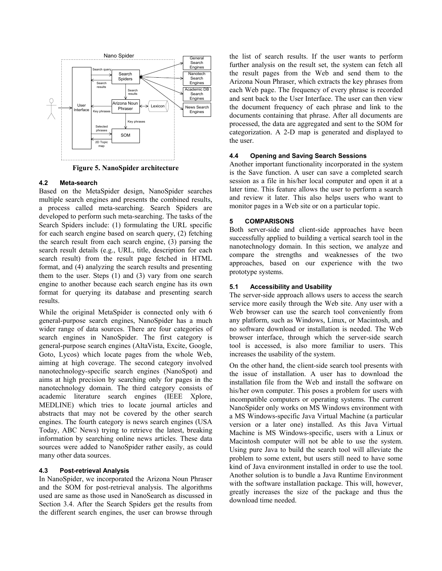

**Figure 5. NanoSpider architecture** 

## **4.2 Meta-search**

Based on the MetaSpider design, NanoSpider searches multiple search engines and presents the combined results, a process called meta-searching. Search Spiders are developed to perform such meta-searching. The tasks of the Search Spiders include: (1) formulating the URL specific for each search engine based on search query, (2) fetching the search result from each search engine, (3) parsing the search result details (e.g., URL, title, description for each search result) from the result page fetched in HTML format, and (4) analyzing the search results and presenting them to the user. Steps (1) and (3) vary from one search engine to another because each search engine has its own format for querying its database and presenting search results.

While the original MetaSpider is connected only with 6 general-purpose search engines, NanoSpider has a much wider range of data sources. There are four categories of search engines in NanoSpider. The first category is general-purpose search engines (AltaVista, Excite, Google, Goto, Lycos) which locate pages from the whole Web, aiming at high coverage. The second category involved nanotechnology-specific search engines (NanoSpot) and aims at high precision by searching only for pages in the nanotechnology domain. The third category consists of academic literature search engines (IEEE Xplore, MEDLINE) which tries to locate journal articles and abstracts that may not be covered by the other search engines. The fourth category is news search engines (USA Today, ABC News) trying to retrieve the latest, breaking information by searching online news articles. These data sources were added to NanoSpider rather easily, as could many other data sources.

### **4.3 Post-retrieval Analysis**

In NanoSpider, we incorporated the Arizona Noun Phraser and the SOM for post-retrieval analysis. The algorithms used are same as those used in NanoSearch as discussed in Section 3.4. After the Search Spiders get the results from the different search engines, the user can browse through the list of search results. If the user wants to perform further analysis on the result set, the system can fetch all the result pages from the Web and send them to the Arizona Noun Phraser, which extracts the key phrases from each Web page. The frequency of every phrase is recorded and sent back to the User Interface. The user can then view the document frequency of each phrase and link to the documents containing that phrase. After all documents are processed, the data are aggregated and sent to the SOM for categorization. A 2-D map is generated and displayed to the user.

## **4.4 Opening and Saving Search Sessions**

Another important functionality incorporated in the system is the Save function. A user can save a completed search session as a file in his/her local computer and open it at a later time. This feature allows the user to perform a search and review it later. This also helps users who want to monitor pages in a Web site or on a particular topic.

## **5 COMPARISONS**

Both server-side and client-side approaches have been successfully applied to building a vertical search tool in the nanotechnology domain. In this section, we analyze and compare the strengths and weaknesses of the two approaches, based on our experience with the two prototype systems.

# **5.1 Accessibility and Usability**

The server-side approach allows users to access the search service more easily through the Web site. Any user with a Web browser can use the search tool conveniently from any platform, such as Windows, Linux, or Macintosh, and no software download or installation is needed. The Web browser interface, through which the server-side search tool is accessed, is also more familiar to users. This increases the usability of the system.

On the other hand, the client-side search tool presents with the issue of installation. A user has to download the installation file from the Web and install the software on his/her own computer. This poses a problem for users with incompatible computers or operating systems. The current NanoSpider only works on MS Windows environment with a MS Windows-specific Java Virtual Machine (a particular version or a later one) installed. As this Java Virtual Machine is MS Windows-specific, users with a Linux or Macintosh computer will not be able to use the system. Using pure Java to build the search tool will alleviate the problem to some extent, but users still need to have some kind of Java environment installed in order to use the tool. Another solution is to bundle a Java Runtime Environment with the software installation package. This will, however, greatly increases the size of the package and thus the download time needed.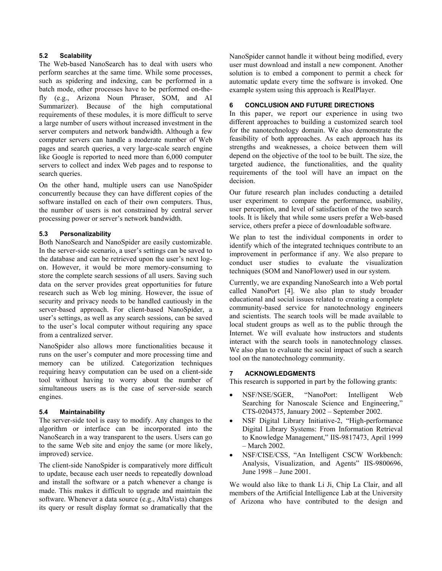# **5.2 Scalability**

The Web-based NanoSearch has to deal with users who perform searches at the same time. While some processes, such as spidering and indexing, can be performed in a batch mode, other processes have to be performed on-thefly (e.g., Arizona Noun Phraser, SOM, and AI Summarizer). Because of the high computational requirements of these modules, it is more difficult to serve a large number of users without increased investment in the server computers and network bandwidth. Although a few computer servers can handle a moderate number of Web pages and search queries, a very large-scale search engine like Google is reported to need more than 6,000 computer servers to collect and index Web pages and to response to search queries.

On the other hand, multiple users can use NanoSpider concurrently because they can have different copies of the software installed on each of their own computers. Thus, the number of users is not constrained by central server processing power or server's network bandwidth.

## **5.3 Personalizability**

Both NanoSearch and NanoSpider are easily customizable. In the server-side scenario, a user's settings can be saved to the database and can be retrieved upon the user's next logon. However, it would be more memory-consuming to store the complete search sessions of all users. Saving such data on the server provides great opportunities for future research such as Web log mining. However, the issue of security and privacy needs to be handled cautiously in the server-based approach. For client-based NanoSpider, a user's settings, as well as any search sessions, can be saved to the user's local computer without requiring any space from a centralized server.

NanoSpider also allows more functionalities because it runs on the user's computer and more processing time and memory can be utilized. Categorization techniques requiring heavy computation can be used on a client-side tool without having to worry about the number of simultaneous users as is the case of server-side search engines.

## **5.4 Maintainability**

The server-side tool is easy to modify. Any changes to the algorithm or interface can be incorporated into the NanoSearch in a way transparent to the users. Users can go to the same Web site and enjoy the same (or more likely, improved) service.

The client-side NanoSpider is comparatively more difficult to update, because each user needs to repeatedly download and install the software or a patch whenever a change is made. This makes it difficult to upgrade and maintain the software. Whenever a data source (e.g., AltaVista) changes its query or result display format so dramatically that the NanoSpider cannot handle it without being modified, every user must download and install a new component. Another solution is to embed a component to permit a check for automatic update every time the software is invoked. One example system using this approach is RealPlayer.

# **6 CONCLUSION AND FUTURE DIRECTIONS**

In this paper, we report our experience in using two different approaches to building a customized search tool for the nanotechnology domain. We also demonstrate the feasibility of both approaches. As each approach has its strengths and weaknesses, a choice between them will depend on the objective of the tool to be built. The size, the targeted audience, the functionalities, and the quality requirements of the tool will have an impact on the decision.

Our future research plan includes conducting a detailed user experiment to compare the performance, usability, user perception, and level of satisfaction of the two search tools. It is likely that while some users prefer a Web-based service, others prefer a piece of downloadable software.

We plan to test the individual components in order to identify which of the integrated techniques contribute to an improvement in performance if any. We also prepare to conduct user studies to evaluate the visualization techniques (SOM and NanoFlower) used in our system.

Currently, we are expanding NanoSearch into a Web portal called NanoPort [4]. We also plan to study broader educational and social issues related to creating a complete community-based service for nanotechnology engineers and scientists. The search tools will be made available to local student groups as well as to the public through the Internet. We will evaluate how instructors and students interact with the search tools in nanotechnology classes. We also plan to evaluate the social impact of such a search tool on the nanotechnology community.

# **7 ACKNOWLEDGMENTS**

This research is supported in part by the following grants:

- NSF/NSE/SGER, "NanoPort: Intelligent Web Searching for Nanoscale Science and Engineering," CTS-0204375, January 2002 – September 2002.
- NSF Digital Library Initiative-2, "High-performance Digital Library Systems: From Information Retrieval to Knowledge Management," IIS-9817473, April 1999 – March 2002.
- NSF/CISE/CSS, "An Intelligent CSCW Workbench: Analysis, Visualization, and Agents" IIS-9800696, June 1998 – June 2001.

We would also like to thank Li Ji, Chip La Clair, and all members of the Artificial Intelligence Lab at the University of Arizona who have contributed to the design and